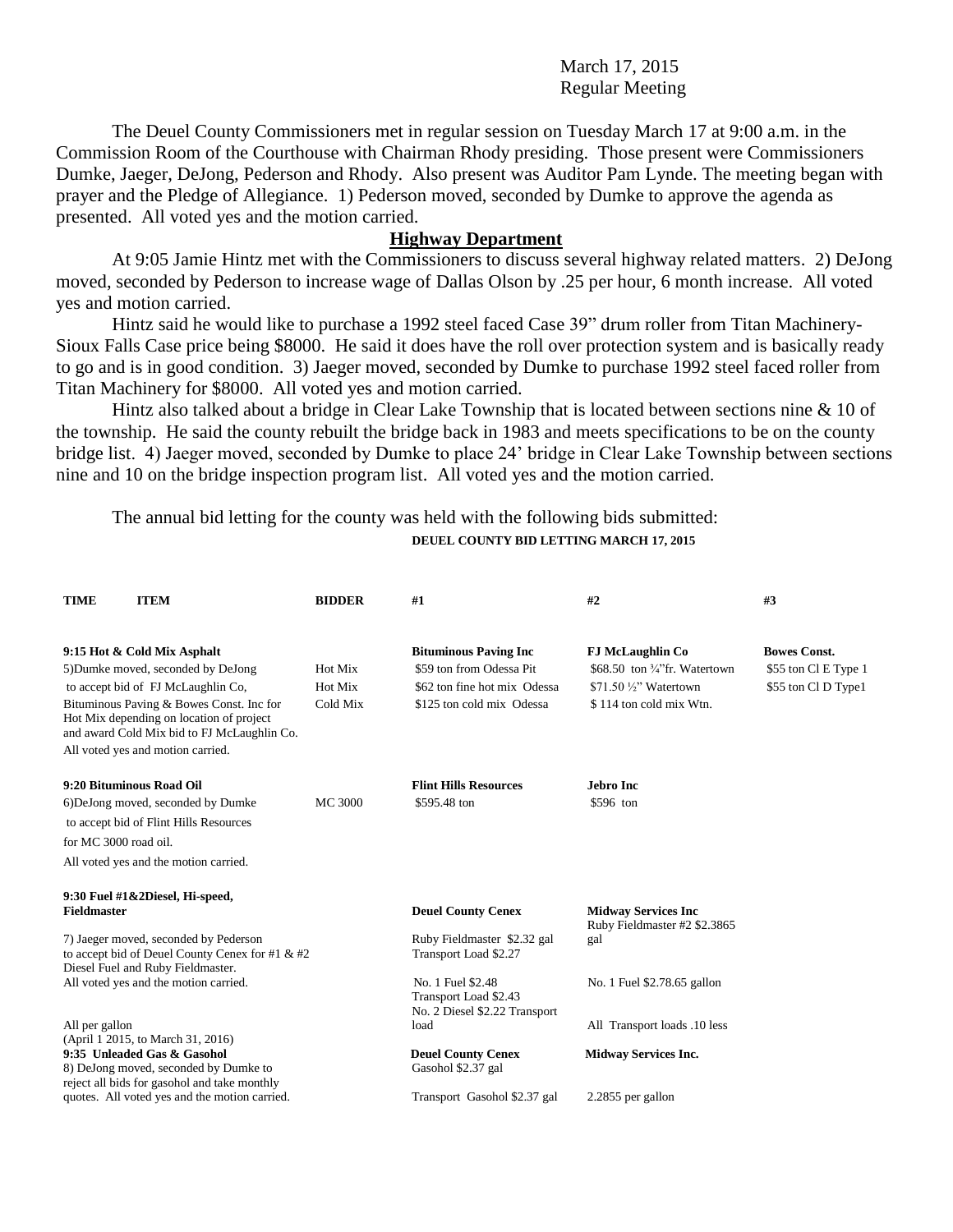March 17, 2015 Regular Meeting

The Deuel County Commissioners met in regular session on Tuesday March 17 at 9:00 a.m. in the Commission Room of the Courthouse with Chairman Rhody presiding. Those present were Commissioners Dumke, Jaeger, DeJong, Pederson and Rhody. Also present was Auditor Pam Lynde. The meeting began with prayer and the Pledge of Allegiance. 1) Pederson moved, seconded by Dumke to approve the agenda as presented. All voted yes and the motion carried.

## **Highway Department**

At 9:05 Jamie Hintz met with the Commissioners to discuss several highway related matters. 2) DeJong moved, seconded by Pederson to increase wage of Dallas Olson by .25 per hour, 6 month increase. All voted yes and motion carried.

Hintz said he would like to purchase a 1992 steel faced Case 39" drum roller from Titan Machinery-Sioux Falls Case price being \$8000. He said it does have the roll over protection system and is basically ready to go and is in good condition. 3) Jaeger moved, seconded by Dumke to purchase 1992 steel faced roller from Titan Machinery for \$8000. All voted yes and motion carried.

Hintz also talked about a bridge in Clear Lake Township that is located between sections nine & 10 of the township. He said the county rebuilt the bridge back in 1983 and meets specifications to be on the county bridge list. 4) Jaeger moved, seconded by Dumke to place 24' bridge in Clear Lake Township between sections nine and 10 on the bridge inspection program list. All voted yes and the motion carried.

The annual bid letting for the county was held with the following bids submitted: **DEUEL COUNTY BID LETTING MARCH 17, 2015**

| <b>ITEM</b><br>TIME                                                                                                                 | <b>BIDDER</b>  | #1                                                                             | #2                                                         | #3                   |
|-------------------------------------------------------------------------------------------------------------------------------------|----------------|--------------------------------------------------------------------------------|------------------------------------------------------------|----------------------|
| 9:15 Hot & Cold Mix Asphalt                                                                                                         |                | <b>Bituminous Paving Inc</b>                                                   | <b>FJ McLaughlin Co</b>                                    | <b>Bowes Const.</b>  |
| 5) Dumke moved, seconded by DeJong                                                                                                  | Hot Mix        | \$59 ton from Odessa Pit                                                       | \$68.50 ton $\frac{3}{4}$ "fr. Watertown                   | \$55 ton Cl E Type 1 |
| to accept bid of FJ McLaughlin Co,<br>Hot Mix                                                                                       |                | \$62 ton fine hot mix Odessa                                                   | \$71.50 $\frac{1}{2}$ " Watertown                          | \$55 ton Cl D Type1  |
| Bituminous Paving & Bowes Const. Inc for<br>Hot Mix depending on location of project<br>and award Cold Mix bid to FJ McLaughlin Co. | Cold Mix       | \$125 ton cold mix Odessa                                                      | \$114 ton cold mix Wtn.                                    |                      |
| All voted yes and motion carried.                                                                                                   |                |                                                                                |                                                            |                      |
| 9:20 Bituminous Road Oil                                                                                                            |                | <b>Flint Hills Resources</b>                                                   | Jebro Inc.                                                 |                      |
| 6) DeJong moved, seconded by Dumke                                                                                                  | <b>MC 3000</b> | \$595.48 ton                                                                   | \$596 ton                                                  |                      |
| to accept bid of Flint Hills Resources                                                                                              |                |                                                                                |                                                            |                      |
| for MC 3000 road oil.                                                                                                               |                |                                                                                |                                                            |                      |
| All voted yes and the motion carried.                                                                                               |                |                                                                                |                                                            |                      |
| 9:30 Fuel #1&2Diesel, Hi-speed,                                                                                                     |                |                                                                                |                                                            |                      |
| <b>Fieldmaster</b>                                                                                                                  |                | <b>Deuel County Cenex</b>                                                      | <b>Midway Services Inc</b><br>Ruby Fieldmaster #2 \$2.3865 |                      |
| 7) Jaeger moved, seconded by Pederson<br>to accept bid of Deuel County Cenex for #1 & #2<br>Diesel Fuel and Ruby Fieldmaster.       |                | Ruby Fieldmaster \$2.32 gal<br>Transport Load \$2.27                           | gal                                                        |                      |
| All voted yes and the motion carried.                                                                                               |                | No. 1 Fuel \$2.48<br>Transport Load \$2.43<br>No. 2 Diesel \$2.22 Transport    | No. 1 Fuel \$2.78.65 gallon                                |                      |
| All per gallon<br>(April 1 2015, to March 31, 2016)                                                                                 |                | load                                                                           | All Transport loads .10 less                               |                      |
| 9:35 Unleaded Gas & Gasohol<br>8) DeJong moved, seconded by Dumke to<br>reject all bids for gasohol and take monthly                |                | <b>Deuel County Cenex</b><br><b>Midway Services Inc.</b><br>Gasohol \$2.37 gal |                                                            |                      |
| quotes. All voted yes and the motion carried.                                                                                       |                | Transport Gasohol \$2.37 gal                                                   | 2.2855 per gallon                                          |                      |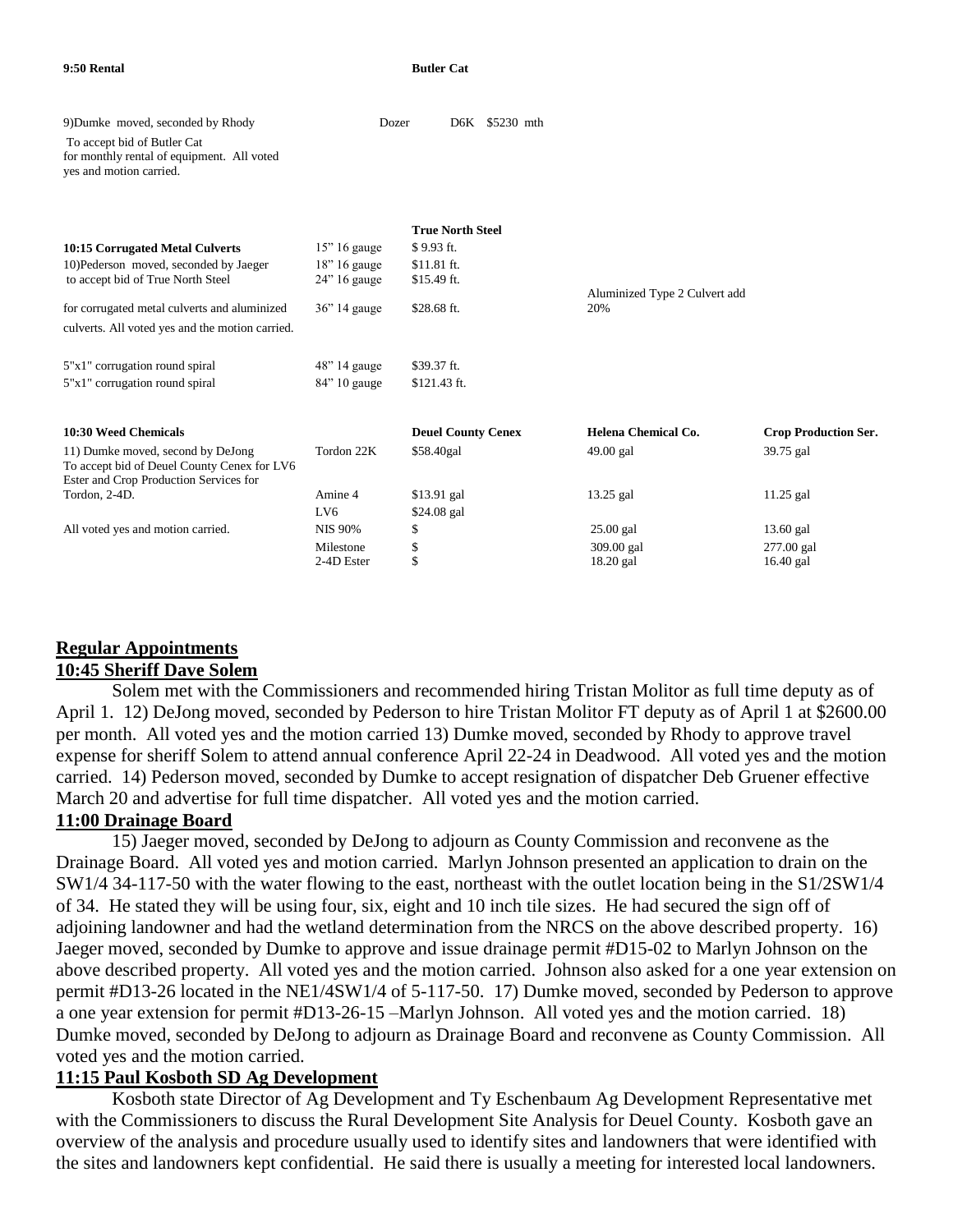| 9) Dumke moved, seconded by Rhody                                                                                          | Dozer           |                           | D6K \$5230 mth |                               |                             |
|----------------------------------------------------------------------------------------------------------------------------|-----------------|---------------------------|----------------|-------------------------------|-----------------------------|
| To accept bid of Butler Cat<br>for monthly rental of equipment. All voted<br>yes and motion carried.                       |                 |                           |                |                               |                             |
|                                                                                                                            |                 |                           |                |                               |                             |
|                                                                                                                            |                 | <b>True North Steel</b>   |                |                               |                             |
| 10:15 Corrugated Metal Culverts                                                                                            | $15$ " 16 gauge | \$9.93 ft.                |                |                               |                             |
| 10)Pederson moved, seconded by Jaeger                                                                                      | $18$ " 16 gauge | \$11.81 ft.               |                |                               |                             |
| to accept bid of True North Steel                                                                                          | $24$ " 16 gauge | \$15.49 ft.               |                | Aluminized Type 2 Culvert add |                             |
| for corrugated metal culverts and aluminized                                                                               | $36$ " 14 gauge | \$28.68 ft.               |                | 20%                           |                             |
| culverts. All voted yes and the motion carried.                                                                            |                 |                           |                |                               |                             |
| 5"x1" corrugation round spiral                                                                                             | $48$ " 14 gauge | \$39.37 ft.               |                |                               |                             |
| 5"x1" corrugation round spiral                                                                                             | $84$ " 10 gauge | \$121.43 ft.              |                |                               |                             |
| 10:30 Weed Chemicals                                                                                                       |                 | <b>Deuel County Cenex</b> |                | Helena Chemical Co.           | <b>Crop Production Ser.</b> |
|                                                                                                                            | Tordon 22K      |                           |                |                               |                             |
| 11) Dumke moved, second by DeJong<br>To accept bid of Deuel County Cenex for LV6<br>Ester and Crop Production Services for |                 | \$58.40gal                |                | 49.00 gal                     | 39.75 gal                   |
| Tordon, 2-4D.                                                                                                              | Amine 4         | $$13.91$ gal              |                | $13.25$ gal                   | $11.25$ gal                 |
|                                                                                                                            | LV <sub>6</sub> | \$24.08 gal               |                |                               |                             |
| All voted yes and motion carried.                                                                                          | <b>NIS 90%</b>  | \$                        |                | $25.00$ gal                   | $13.60$ gal                 |
|                                                                                                                            | Milestone       | \$                        |                | 309.00 gal                    | 277.00 gal                  |
|                                                                                                                            | 2-4D Ester      | \$                        |                | 18.20 gal                     | $16.40$ gal                 |
|                                                                                                                            |                 |                           |                |                               |                             |

#### **Regular Appointments 10:45 Sheriff Dave Solem**

Solem met with the Commissioners and recommended hiring Tristan Molitor as full time deputy as of April 1. 12) DeJong moved, seconded by Pederson to hire Tristan Molitor FT deputy as of April 1 at \$2600.00 per month. All voted yes and the motion carried 13) Dumke moved, seconded by Rhody to approve travel expense for sheriff Solem to attend annual conference April 22-24 in Deadwood. All voted yes and the motion carried. 14) Pederson moved, seconded by Dumke to accept resignation of dispatcher Deb Gruener effective March 20 and advertise for full time dispatcher. All voted yes and the motion carried.

#### **11:00 Drainage Board**

15) Jaeger moved, seconded by DeJong to adjourn as County Commission and reconvene as the Drainage Board. All voted yes and motion carried. Marlyn Johnson presented an application to drain on the SW1/4 34-117-50 with the water flowing to the east, northeast with the outlet location being in the S1/2SW1/4 of 34. He stated they will be using four, six, eight and 10 inch tile sizes. He had secured the sign off of adjoining landowner and had the wetland determination from the NRCS on the above described property. 16) Jaeger moved, seconded by Dumke to approve and issue drainage permit #D15-02 to Marlyn Johnson on the above described property. All voted yes and the motion carried. Johnson also asked for a one year extension on permit #D13-26 located in the NE1/4SW1/4 of 5-117-50. 17) Dumke moved, seconded by Pederson to approve a one year extension for permit #D13-26-15 –Marlyn Johnson. All voted yes and the motion carried. 18) Dumke moved, seconded by DeJong to adjourn as Drainage Board and reconvene as County Commission. All voted yes and the motion carried.

#### **11:15 Paul Kosboth SD Ag Development**

Kosboth state Director of Ag Development and Ty Eschenbaum Ag Development Representative met with the Commissioners to discuss the Rural Development Site Analysis for Deuel County. Kosboth gave an overview of the analysis and procedure usually used to identify sites and landowners that were identified with the sites and landowners kept confidential. He said there is usually a meeting for interested local landowners.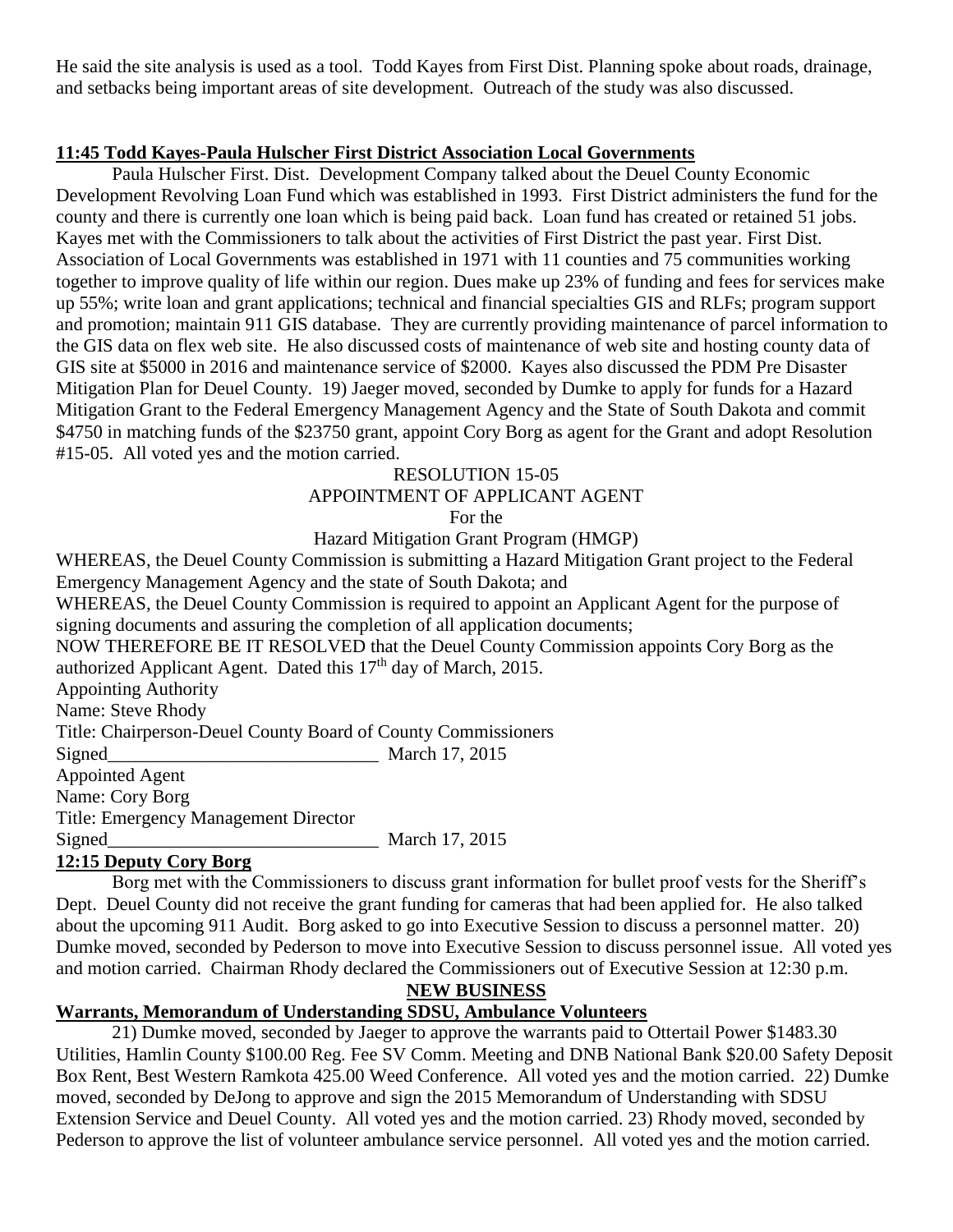He said the site analysis is used as a tool. Todd Kayes from First Dist. Planning spoke about roads, drainage, and setbacks being important areas of site development. Outreach of the study was also discussed.

### **11:45 Todd Kayes-Paula Hulscher First District Association Local Governments**

Paula Hulscher First. Dist. Development Company talked about the Deuel County Economic Development Revolving Loan Fund which was established in 1993. First District administers the fund for the county and there is currently one loan which is being paid back. Loan fund has created or retained 51 jobs. Kayes met with the Commissioners to talk about the activities of First District the past year. First Dist. Association of Local Governments was established in 1971 with 11 counties and 75 communities working together to improve quality of life within our region. Dues make up 23% of funding and fees for services make up 55%; write loan and grant applications; technical and financial specialties GIS and RLFs; program support and promotion; maintain 911 GIS database. They are currently providing maintenance of parcel information to the GIS data on flex web site. He also discussed costs of maintenance of web site and hosting county data of GIS site at \$5000 in 2016 and maintenance service of \$2000. Kayes also discussed the PDM Pre Disaster Mitigation Plan for Deuel County. 19) Jaeger moved, seconded by Dumke to apply for funds for a Hazard Mitigation Grant to the Federal Emergency Management Agency and the State of South Dakota and commit \$4750 in matching funds of the \$23750 grant, appoint Cory Borg as agent for the Grant and adopt Resolution #15-05. All voted yes and the motion carried.

#### RESOLUTION 15-05

## APPOINTMENT OF APPLICANT AGENT

For the

## Hazard Mitigation Grant Program (HMGP)

WHEREAS, the Deuel County Commission is submitting a Hazard Mitigation Grant project to the Federal Emergency Management Agency and the state of South Dakota; and

WHEREAS, the Deuel County Commission is required to appoint an Applicant Agent for the purpose of signing documents and assuring the completion of all application documents;

NOW THEREFORE BE IT RESOLVED that the Deuel County Commission appoints Cory Borg as the authorized Applicant Agent. Dated this  $17<sup>th</sup>$  day of March, 2015.

Appointing Authority

Name: Steve Rhody

Title: Chairperson-Deuel County Board of County Commissioners

 $Signed$  March 17, 2015 Appointed Agent Name: Cory Borg

Title: Emergency Management Director

Signed March 17, 2015

## **12:15 Deputy Cory Borg**

Borg met with the Commissioners to discuss grant information for bullet proof vests for the Sheriff's Dept. Deuel County did not receive the grant funding for cameras that had been applied for. He also talked about the upcoming 911 Audit. Borg asked to go into Executive Session to discuss a personnel matter. 20) Dumke moved, seconded by Pederson to move into Executive Session to discuss personnel issue. All voted yes and motion carried. Chairman Rhody declared the Commissioners out of Executive Session at 12:30 p.m.

#### **NEW BUSINESS**

# **Warrants, Memorandum of Understanding SDSU, Ambulance Volunteers**

21) Dumke moved, seconded by Jaeger to approve the warrants paid to Ottertail Power \$1483.30 Utilities, Hamlin County \$100.00 Reg. Fee SV Comm. Meeting and DNB National Bank \$20.00 Safety Deposit Box Rent, Best Western Ramkota 425.00 Weed Conference. All voted yes and the motion carried. 22) Dumke moved, seconded by DeJong to approve and sign the 2015 Memorandum of Understanding with SDSU Extension Service and Deuel County. All voted yes and the motion carried. 23) Rhody moved, seconded by Pederson to approve the list of volunteer ambulance service personnel. All voted yes and the motion carried.